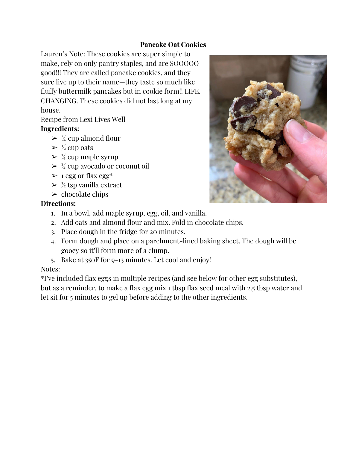## **Pancake Oat Cookies**

Lauren's Note: These cookies are super simple to make, rely on only pantry staples, and are SOOOOO good!!! They are called pancake cookies, and they sure live up to their name—they taste so much like fluffy buttermilk pancakes but in cookie form!! LIFE. CHANGING. These cookies did not last long at my house.

Recipe from Lexi Lives Well

# **Ingredients:**

- $\geq$   $\frac{3}{4}$  cup almond flour
- $\geq \frac{1}{2}$  cup oats
- $\geq$  ¼ cup maple syrup
- $\geq \frac{1}{4}$  cup avocado or coconut oil
- $\geq 1$  egg or flax egg\*
- $\geq \frac{1}{2}$  tsp vanilla extract
- $\triangleright$  chocolate chips

# **Directions:**

- 1. In a bowl, add maple syrup, egg, oil, and vanilla.
- 2. Add oats and almond flour and mix. Fold in chocolate chips.
- 3. Place dough in the fridge for 20 minutes.
- 4. Form dough and place on a parchment-lined baking sheet. The dough will be gooey so it'll form more of a clump.
- 5. Bake at 350F for 9-13 minutes. Let cool and enjoy!

# Notes:

\*I've included flax eggs in multiple recipes (and see below for other egg substitutes), but as a reminder, to make a flax egg mix 1 tbsp flax seed meal with 2.5 tbsp water and let sit for 5 minutes to gel up before adding to the other ingredients.

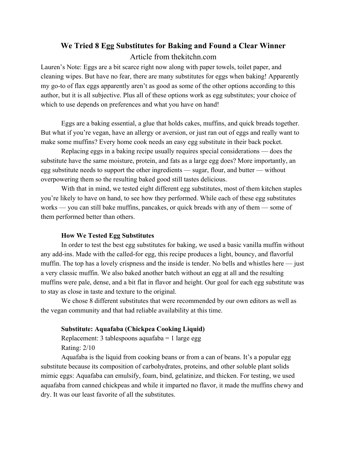# **We Tried 8 Egg Substitutes for Baking and Found a Clear Winner** Article from thekitchn.com

Lauren's Note: Eggs are a bit scarce right now along with paper towels, toilet paper, and cleaning wipes. But have no fear, there are many substitutes for eggs when baking! Apparently my go-to of flax eggs apparently aren't as good as some of the other options according to this author, but it is all subjective. Plus all of these options work as egg substitutes; your choice of which to use depends on preferences and what you have on hand!

Eggs are a baking essential, a glue that holds cakes, muffins, and quick breads together. But what if you're vegan, have an allergy or aversion, or just ran out of eggs and really want to make some muffins? Every home cook needs an easy egg substitute in their back pocket.

Replacing eggs in a baking recipe usually requires special considerations — does the substitute have the same moisture, protein, and fats as a large egg does? More importantly, an egg substitute needs to support the other ingredients — sugar, flour, and butter — without overpowering them so the resulting baked good still tastes delicious.

With that in mind, we tested eight different egg substitutes, most of them kitchen staples you're likely to have on hand, to see how they performed. While each of these egg substitutes works — you can still bake muffins, pancakes, or quick breads with any of them — some of them performed better than others.

#### **How We Tested Egg Substitutes**

In order to test the best egg substitutes for baking, we used a basic vanilla muffin without any add-ins. Made with the called-for egg, this recipe produces a light, bouncy, and flavorful muffin. The top has a lovely crispness and the inside is tender. No bells and whistles here — just a very classic muffin. We also baked another batch without an egg at all and the resulting muffins were pale, dense, and a bit flat in flavor and height. Our goal for each egg substitute was to stay as close in taste and texture to the original.

We chose 8 different substitutes that were recommended by our own editors as well as the vegan community and that had reliable availability at this time.

#### **Substitute: Aquafaba (Chickpea Cooking Liquid)**

Replacement: 3 tablespoons aquafaba  $= 1$  large egg Rating: 2/10

Aquafaba is the liquid from cooking beans or from a can of beans. It's a popular egg substitute because its composition of carbohydrates, proteins, and other soluble plant solids mimic eggs: Aquafaba can emulsify, foam, bind, gelatinize, and thicken. For testing, we used aquafaba from canned chickpeas and while it imparted no flavor, it made the muffins chewy and dry. It was our least favorite of all the substitutes.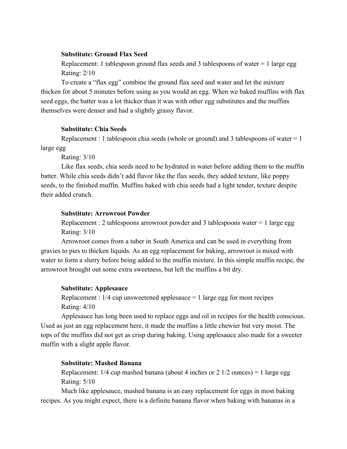#### **Substitute: Ground Flax Seed**

Replacement: 1 tablespoon ground flax seeds and 3 tablespoons of water = 1 large egg Rating: 2/10

To create a "flax egg" combine the ground flax seed and water and let the mixture thicken for about 5 minutes before using as you would an egg. When we baked muffins with flax seed eggs, the batter was a lot thicker than it was with other egg substitutes and the muffins themselves were denser and had a slightly grassy flavor.

#### **Substitute: Chia Seeds**

Replacement : 1 tablespoon chia seeds (whole or ground) and 3 tablespoons of water  $= 1$ large egg

Rating: 3/10

Like flax seeds, chia seeds need to be hydrated in water before adding them to the muffin batter. While chia seeds didn't add flavor like the flax seeds, they added texture, like poppy seeds, to the finished muffin. Muffins baked with chia seeds had a light tender, texture despite their added crunch.

### **Substitute: Arrowroot Powder**

Replacement : 2 tablespoons arrowroot powder and 3 tablespoons water  $= 1$  large egg Rating: 3/10

Arrowroot comes from a tuber in South America and can be used in everything from gravies to pies to thicken liquids. As an egg replacement for baking, arrowroot is mixed with water to form a slurry before being added to the muffin mixture. In this simple muffin recipe, the arrowroot brought out some extra sweetness, but left the muffins a bit dry.

## **Substitute: Applesauce**

Replacement :  $1/4$  cup unsweetened applesauce  $= 1$  large egg for most recipes Rating: 4/10

Applesauce has long been used to replace eggs and oil in recipes for the health conscious. Used as just an egg replacement here, it made the muffins a little chewier but very moist. The tops of the muffins did not get as crisp during baking. Using applesauce also made for a sweeter muffin with a slight apple flavor.

## **Substitute: Mashed Banana**

Replacement:  $1/4$  cup mashed banana (about 4 inches or 2  $1/2$  ounces) = 1 large egg Rating: 5/10

Much like applesauce, mashed banana is an easy replacement for eggs in most baking recipes. As you might expect, there is a definite banana flavor when baking with bananas in a